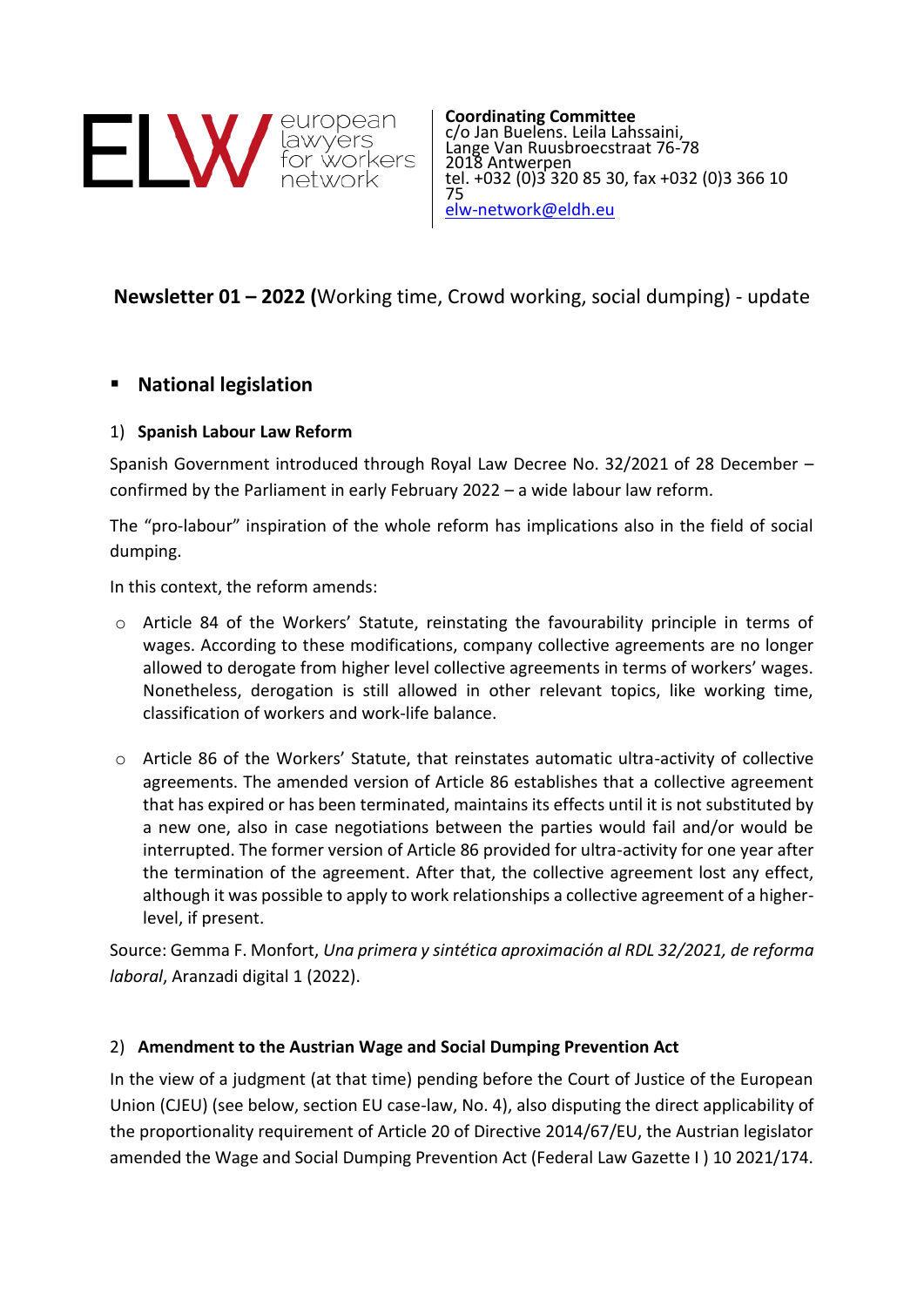

**Coordinating Committee** c/o Jan Buelens. Leila Lahssaini, Lange Van Ruusbroecstraat 76-78 2018 Antwerpen tel. +032 (0)3 320 85 30, fax +032 (0)3 366 10 75 [elw-network@eldh.eu](mailto:elw-network@eldh.eu)

# **Newsletter 01 – 2022 (**Working time, Crowd working, social dumping) - update

## ▪ **National legislation**

#### 1) **Spanish Labour Law Reform**

Spanish Government introduced through Royal Law Decree No. 32/2021 of 28 December – confirmed by the Parliament in early February 2022 – a wide labour law reform.

The "pro-labour" inspiration of the whole reform has implications also in the field of social dumping.

In this context, the reform amends:

- o Article 84 of the Workers' Statute, reinstating the favourability principle in terms of wages. According to these modifications, company collective agreements are no longer allowed to derogate from higher level collective agreements in terms of workers' wages. Nonetheless, derogation is still allowed in other relevant topics, like working time, classification of workers and work-life balance.
- o Article 86 of the Workers' Statute, that reinstates automatic ultra-activity of collective agreements. The amended version of Article 86 establishes that a collective agreement that has expired or has been terminated, maintains its effects until it is not substituted by a new one, also in case negotiations between the parties would fail and/or would be interrupted. The former version of Article 86 provided for ultra-activity for one year after the termination of the agreement. After that, the collective agreement lost any effect, although it was possible to apply to work relationships a collective agreement of a higherlevel, if present.

Source: Gemma F. Monfort, *Una primera y sintética aproximación al RDL 32/2021, de reforma laboral*, Aranzadi digital 1 (2022).

#### 2) **Amendment to the Austrian Wage and Social Dumping Prevention Act**

In the view of a judgment (at that time) pending before the Court of Justice of the European Union (CJEU) (see below, section EU case-law, No. 4), also disputing the direct applicability of the proportionality requirement of Article 20 of Directive 2014/67/EU, the Austrian legislator amended the Wage and Social Dumping Prevention Act (Federal Law Gazette I) 10 2021/174.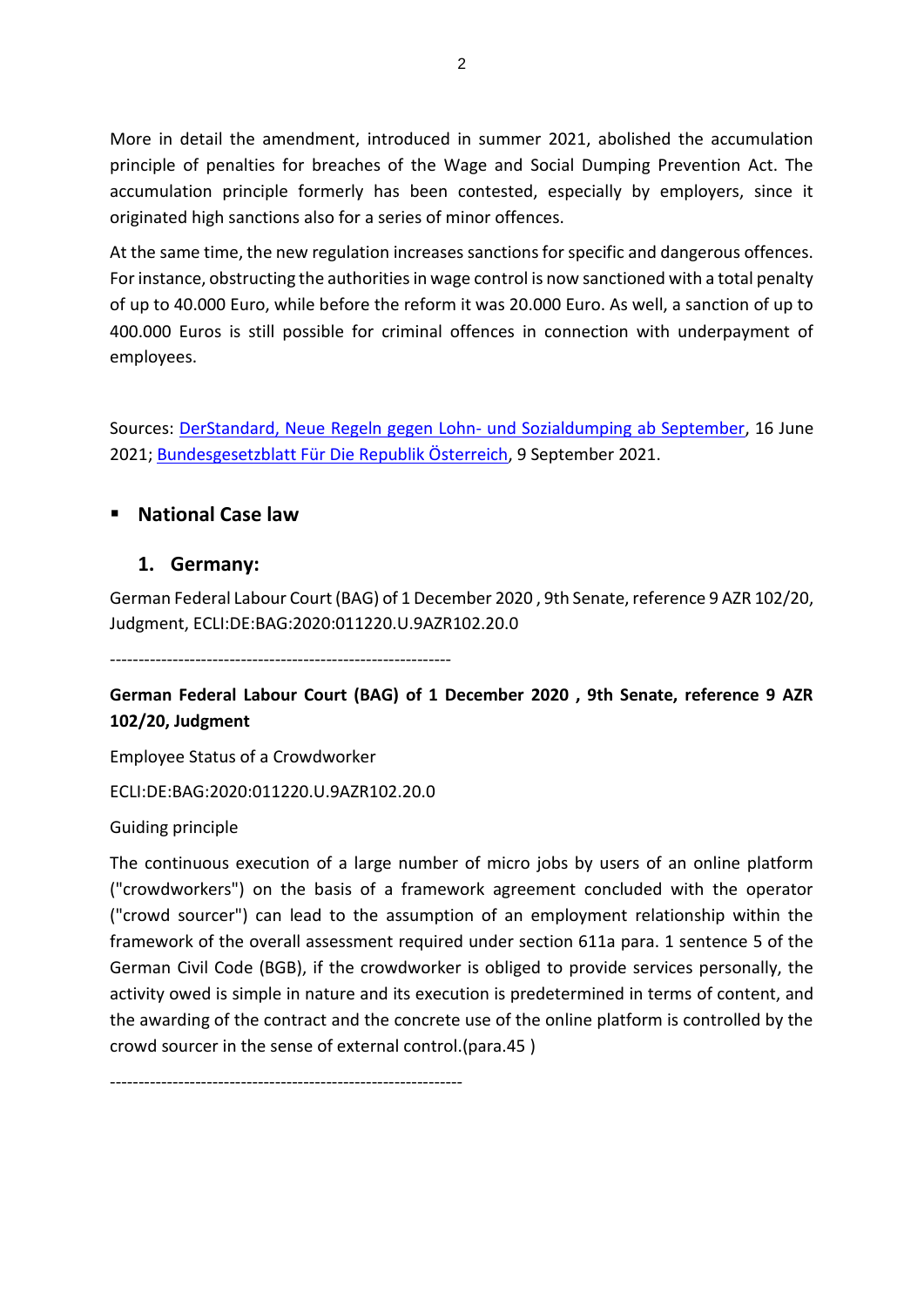More in detail the amendment, introduced in summer 2021, abolished the accumulation principle of penalties for breaches of the Wage and Social Dumping Prevention Act. The accumulation principle formerly has been contested, especially by employers, since it originated high sanctions also for a series of minor offences.

At the same time, the new regulation increases sanctions for specific and dangerous offences. For instance, obstructing the authorities in wage control is now sanctioned with a total penalty of up to 40.000 Euro, while before the reform it was 20.000 Euro. As well, a sanction of up to 400.000 Euros is still possible for criminal offences in connection with underpayment of employees.

Sources: [DerStandard, Neue Regeln gegen Lohn-](https://www.derstandard.at/story/2000127466557/neue-regeln-gegen-lohn-und-sozialdumping-ab-september) und Sozialdumping ab September, 16 June 2021; [Bundesgesetzblatt Für Die Republik Österreich,](https://www.ris.bka.gv.at/Dokumente/BgblAuth/BGBLA_2021_I_174/BGBLA_2021_I_174.html) 9 September 2021.

# ▪ **National Case law**

### **1. Germany:**

German Federal Labour Court (BAG) of 1 December 2020 , 9th Senate, reference 9 AZR 102/20, Judgment, ECLI:DE:BAG:2020:011220.U.9AZR102.20.0

------------------------------------------------------------

**German Federal Labour Court (BAG) of 1 December 2020 , 9th Senate, reference 9 AZR 102/20, Judgment**

Employee Status of a Crowdworker

ECLI:DE:BAG:2020:011220.U.9AZR102.20.0

Guiding principle

The continuous execution of a large number of micro jobs by users of an online platform ("crowdworkers") on the basis of a framework agreement concluded with the operator ("crowd sourcer") can lead to the assumption of an employment relationship within the framework of the overall assessment required under section 611a para. 1 sentence 5 of the German Civil Code (BGB), if the crowdworker is obliged to provide services personally, the activity owed is simple in nature and its execution is predetermined in terms of content, and the awarding of the contract and the concrete use of the online platform is controlled by the crowd sourcer in the sense of external control.(para.45 )

--------------------------------------------------------------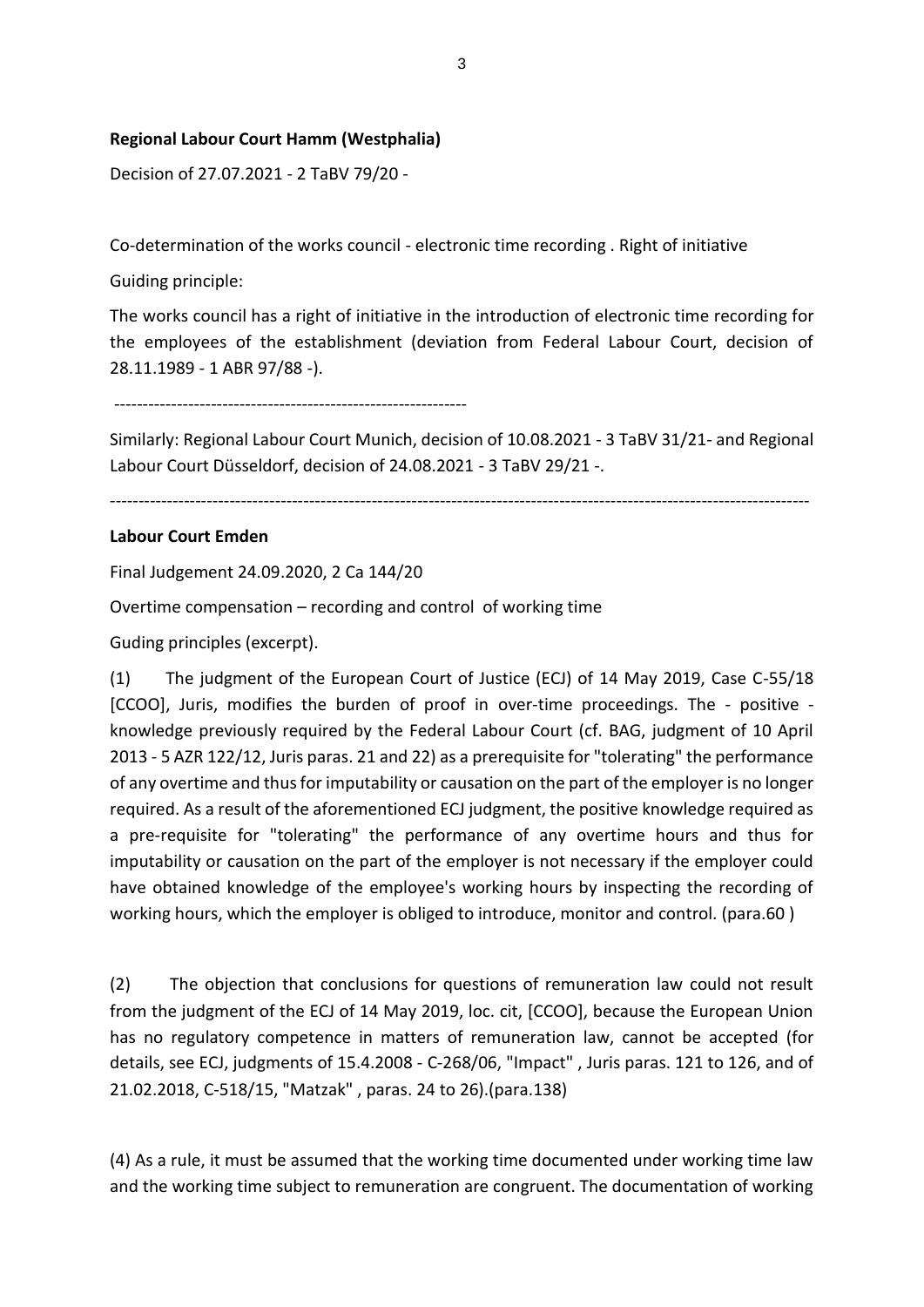#### **Regional Labour Court Hamm (Westphalia)**

Decision of 27.07.2021 - 2 TaBV 79/20 -

Co-determination of the works council - electronic time recording . Right of initiative

Guiding principle:

The works council has a right of initiative in the introduction of electronic time recording for the employees of the establishment (deviation from Federal Labour Court, decision of 28.11.1989 - 1 ABR 97/88 -).

--------------------------------------------------------------

Similarly: Regional Labour Court Munich, decision of 10.08.2021 - 3 TaBV 31/21- and Regional Labour Court Düsseldorf, decision of 24.08.2021 - 3 TaBV 29/21 -.

---------------------------------------------------------------------------------------------------------------------------

#### **Labour Court Emden**

Final Judgement 24.09.2020, 2 Ca 144/20

Overtime compensation – recording and control of working time

Guding principles (excerpt).

(1) The judgment of the European Court of Justice (ECJ) of 14 May 2019, Case C-55/18 [CCOO], Juris, modifies the burden of proof in over-time proceedings. The - positive knowledge previously required by the Federal Labour Court (cf. BAG, judgment of 10 April 2013 - 5 AZR 122/12, Juris paras. 21 and 22) as a prerequisite for "tolerating" the performance of any overtime and thus for imputability or causation on the part of the employer is no longer required. As a result of the aforementioned ECJ judgment, the positive knowledge required as a pre-requisite for "tolerating" the performance of any overtime hours and thus for imputability or causation on the part of the employer is not necessary if the employer could have obtained knowledge of the employee's working hours by inspecting the recording of working hours, which the employer is obliged to introduce, monitor and control. (para.60 )

(2) The objection that conclusions for questions of remuneration law could not result from the judgment of the ECJ of 14 May 2019, loc. cit, [CCOO], because the European Union has no regulatory competence in matters of remuneration law, cannot be accepted (for details, see ECJ, judgments of 15.4.2008 - C-268/06, "Impact" , Juris paras. 121 to 126, and of 21.02.2018, C-518/15, "Matzak" , paras. 24 to 26).(para.138)

(4) As a rule, it must be assumed that the working time documented under working time law and the working time subject to remuneration are congruent. The documentation of working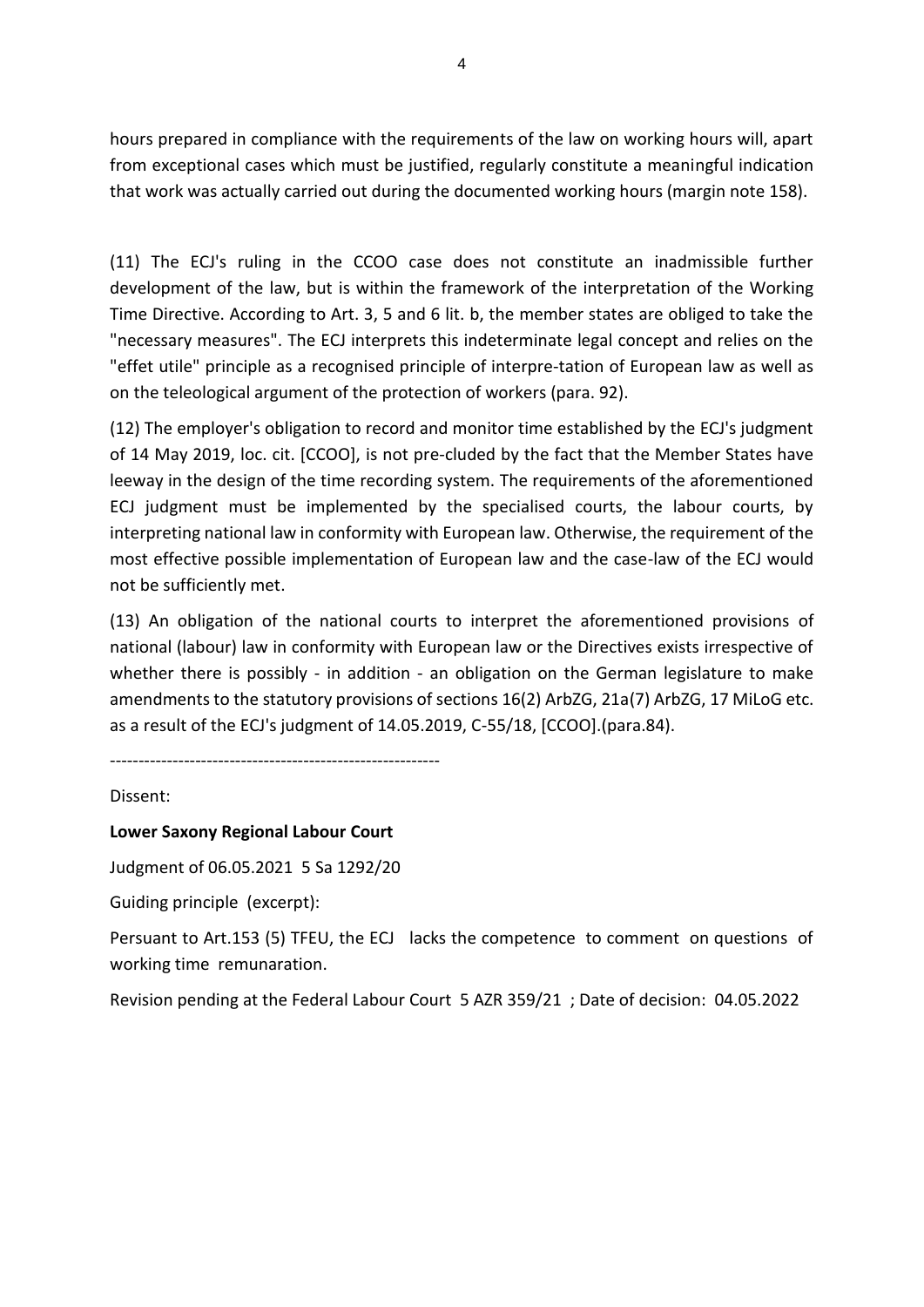hours prepared in compliance with the requirements of the law on working hours will, apart from exceptional cases which must be justified, regularly constitute a meaningful indication that work was actually carried out during the documented working hours (margin note 158).

(11) The ECJ's ruling in the CCOO case does not constitute an inadmissible further development of the law, but is within the framework of the interpretation of the Working Time Directive. According to Art. 3, 5 and 6 lit. b, the member states are obliged to take the "necessary measures". The ECJ interprets this indeterminate legal concept and relies on the "effet utile" principle as a recognised principle of interpre-tation of European law as well as on the teleological argument of the protection of workers (para. 92).

(12) The employer's obligation to record and monitor time established by the ECJ's judgment of 14 May 2019, loc. cit. [CCOO], is not pre-cluded by the fact that the Member States have leeway in the design of the time recording system. The requirements of the aforementioned ECJ judgment must be implemented by the specialised courts, the labour courts, by interpreting national law in conformity with European law. Otherwise, the requirement of the most effective possible implementation of European law and the case-law of the ECJ would not be sufficiently met.

(13) An obligation of the national courts to interpret the aforementioned provisions of national (labour) law in conformity with European law or the Directives exists irrespective of whether there is possibly - in addition - an obligation on the German legislature to make amendments to the statutory provisions of sections 16(2) ArbZG, 21a(7) ArbZG, 17 MiLoG etc. as a result of the ECJ's judgment of 14.05.2019, C-55/18, [CCOO].(para.84).

----------------------------------------------------------

Dissent:

#### **Lower Saxony Regional Labour Court**

Judgment of 06.05.2021 5 Sa 1292/20

Guiding principle (excerpt):

Persuant to Art.153 (5) TFEU, the ECJ lacks the competence to comment on questions of working time remunaration.

Revision pending at the Federal Labour Court 5 AZR 359/21 ; Date of decision: 04.05.2022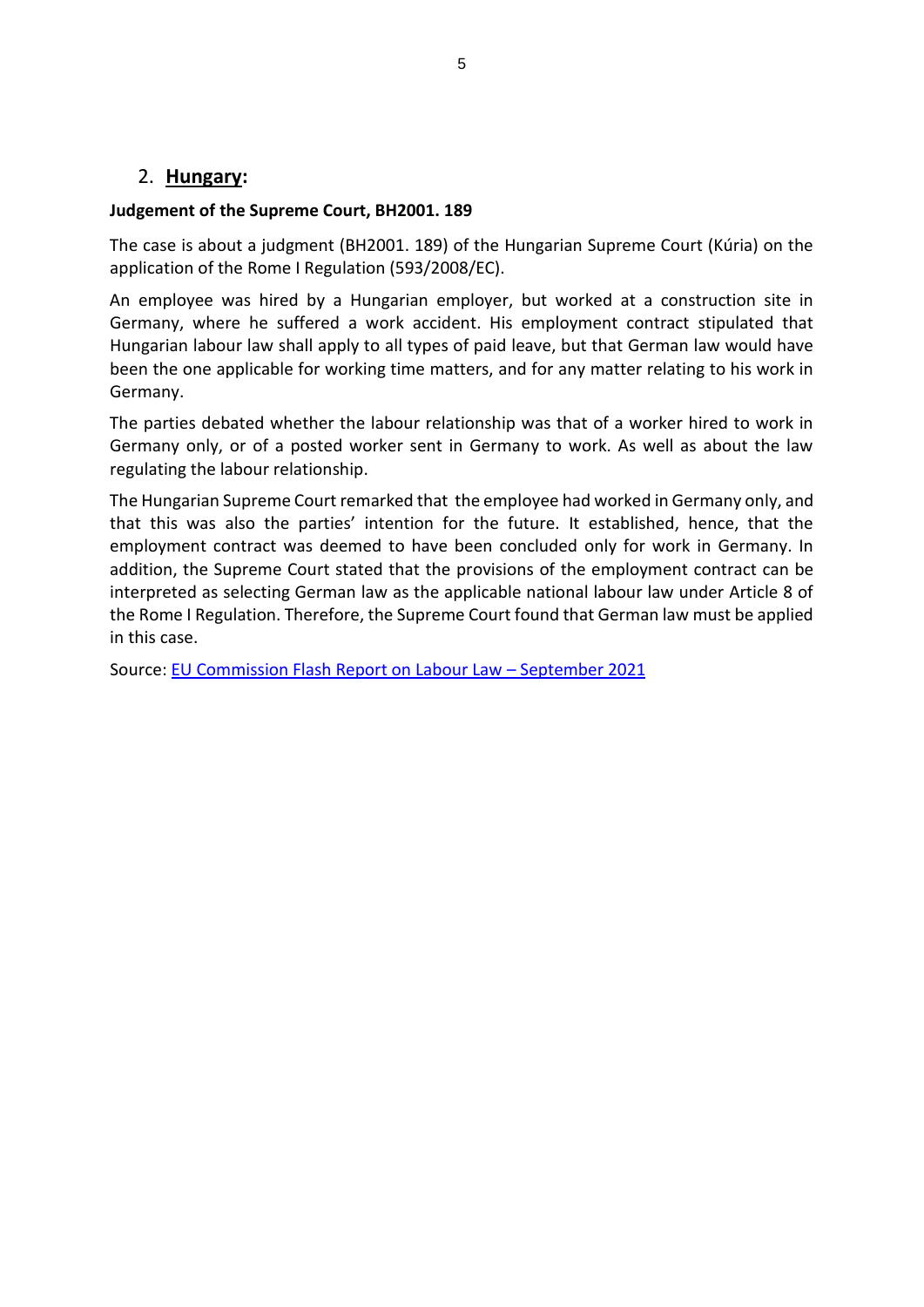### 2. **Hungary:**

#### **Judgement of the Supreme Court, BH2001. 189**

The case is about a judgment (BH2001. 189) of the Hungarian Supreme Court (Kúria) on the application of the Rome I Regulation (593/2008/EC).

An employee was hired by a Hungarian employer, but worked at a construction site in Germany, where he suffered a work accident. His employment contract stipulated that Hungarian labour law shall apply to all types of paid leave, but that German law would have been the one applicable for working time matters, and for any matter relating to his work in Germany.

The parties debated whether the labour relationship was that of a worker hired to work in Germany only, or of a posted worker sent in Germany to work. As well as about the law regulating the labour relationship.

The Hungarian Supreme Court remarked that the employee had worked in Germany only, and that this was also the parties' intention for the future. It established, hence, that the employment contract was deemed to have been concluded only for work in Germany. In addition, the Supreme Court stated that the provisions of the employment contract can be interpreted as selecting German law as the applicable national labour law under Article 8 of the Rome I Regulation. Therefore, the Supreme Court found that German law must be applied in this case.

Source: [EU Commission Flash Report on Labour Law](https://ec.europa.eu/social/BlobServlet?docId=24844&langId=en) – September 2021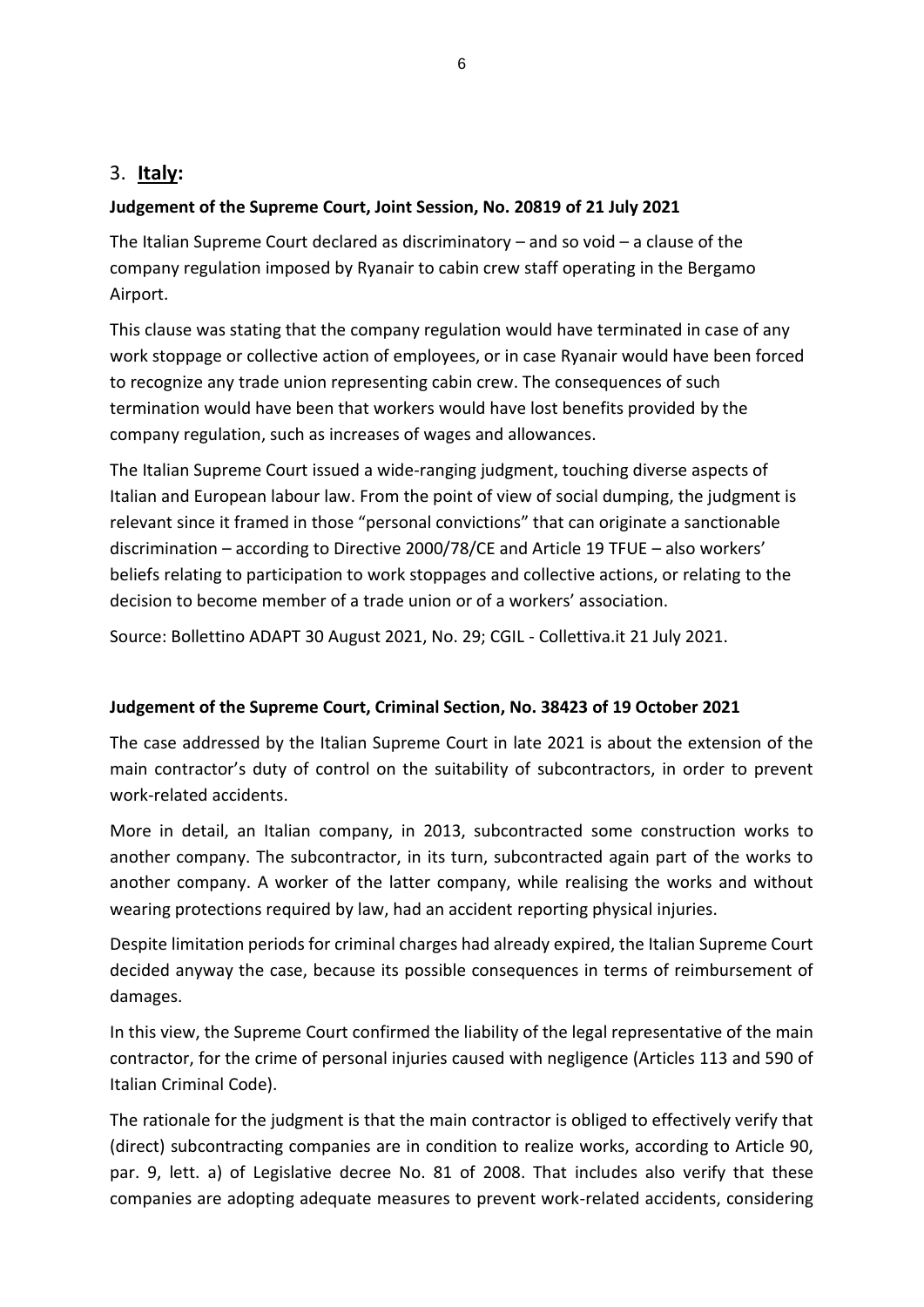# 3. **Italy:**

### **Judgement of the Supreme Court, Joint Session, No. 20819 of 21 July 2021**

The Italian Supreme Court declared as discriminatory  $-$  and so void  $-$  a clause of the company regulation imposed by Ryanair to cabin crew staff operating in the Bergamo Airport.

This clause was stating that the company regulation would have terminated in case of any work stoppage or collective action of employees, or in case Ryanair would have been forced to recognize any trade union representing cabin crew. The consequences of such termination would have been that workers would have lost benefits provided by the company regulation, such as increases of wages and allowances.

The Italian Supreme Court issued a wide-ranging judgment, touching diverse aspects of Italian and European labour law. From the point of view of social dumping, the judgment is relevant since it framed in those "personal convictions" that can originate a sanctionable discrimination – according to Directive 2000/78/CE and Article 19 TFUE – also workers' beliefs relating to participation to work stoppages and collective actions, or relating to the decision to become member of a trade union or of a workers' association.

Source: Bollettino ADAPT 30 August 2021, No. 29; CGIL - Collettiva.it 21 July 2021.

#### **Judgement of the Supreme Court, Criminal Section, No. 38423 of 19 October 2021**

The case addressed by the Italian Supreme Court in late 2021 is about the extension of the main contractor's duty of control on the suitability of subcontractors, in order to prevent work-related accidents.

More in detail, an Italian company, in 2013, subcontracted some construction works to another company. The subcontractor, in its turn, subcontracted again part of the works to another company. A worker of the latter company, while realising the works and without wearing protections required by law, had an accident reporting physical injuries.

Despite limitation periods for criminal charges had already expired, the Italian Supreme Court decided anyway the case, because its possible consequences in terms of reimbursement of damages.

In this view, the Supreme Court confirmed the liability of the legal representative of the main contractor, for the crime of personal injuries caused with negligence (Articles 113 and 590 of Italian Criminal Code).

The rationale for the judgment is that the main contractor is obliged to effectively verify that (direct) subcontracting companies are in condition to realize works, according to Article 90, par. 9, lett. a) of Legislative decree No. 81 of 2008. That includes also verify that these companies are adopting adequate measures to prevent work-related accidents, considering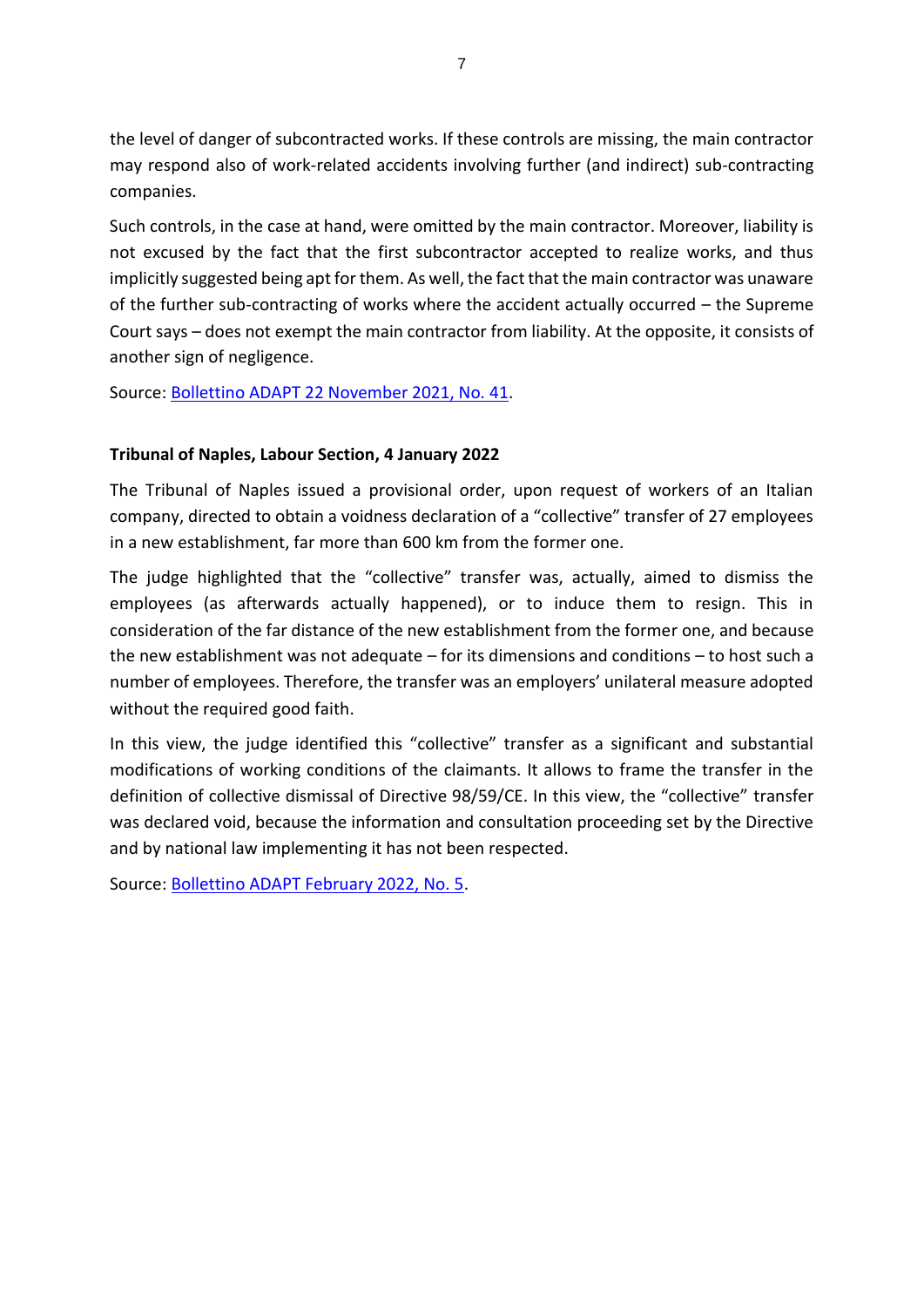the level of danger of subcontracted works. If these controls are missing, the main contractor may respond also of work-related accidents involving further (and indirect) sub-contracting companies.

Such controls, in the case at hand, were omitted by the main contractor. Moreover, liability is not excused by the fact that the first subcontractor accepted to realize works, and thus implicitly suggested being apt for them. As well, the fact that the main contractor was unaware of the further sub-contracting of works where the accident actually occurred – the Supreme Court says – does not exempt the main contractor from liability. At the opposite, it consists of another sign of negligence.

Source: [Bollettino ADAPT 22 November 2021, No. 41.](https://bollettinoadapt.us3.list-manage.com/track/click?u=477f592c29b5a739ce4cc8917&id=b2b687bfe9&e=18bdf9babd)

#### **Tribunal of Naples, Labour Section, 4 January 2022**

The Tribunal of Naples issued a provisional order, upon request of workers of an Italian company, directed to obtain a voidness declaration of a "collective" transfer of 27 employees in a new establishment, far more than 600 km from the former one.

The judge highlighted that the "collective" transfer was, actually, aimed to dismiss the employees (as afterwards actually happened), or to induce them to resign. This in consideration of the far distance of the new establishment from the former one, and because the new establishment was not adequate – for its dimensions and conditions – to host such a number of employees. Therefore, the transfer was an employers' unilateral measure adopted without the required good faith.

In this view, the judge identified this "collective" transfer as a significant and substantial modifications of working conditions of the claimants. It allows to frame the transfer in the definition of collective dismissal of Directive 98/59/CE. In this view, the "collective" transfer was declared void, because the information and consultation proceeding set by the Directive and by national law implementing it has not been respected.

Source: [Bollettino ADAPT February 2022, No. 5.](https://bollettinoadapt.us3.list-manage.com/track/click?u=477f592c29b5a739ce4cc8917&id=285c025176&e=18bdf9babd)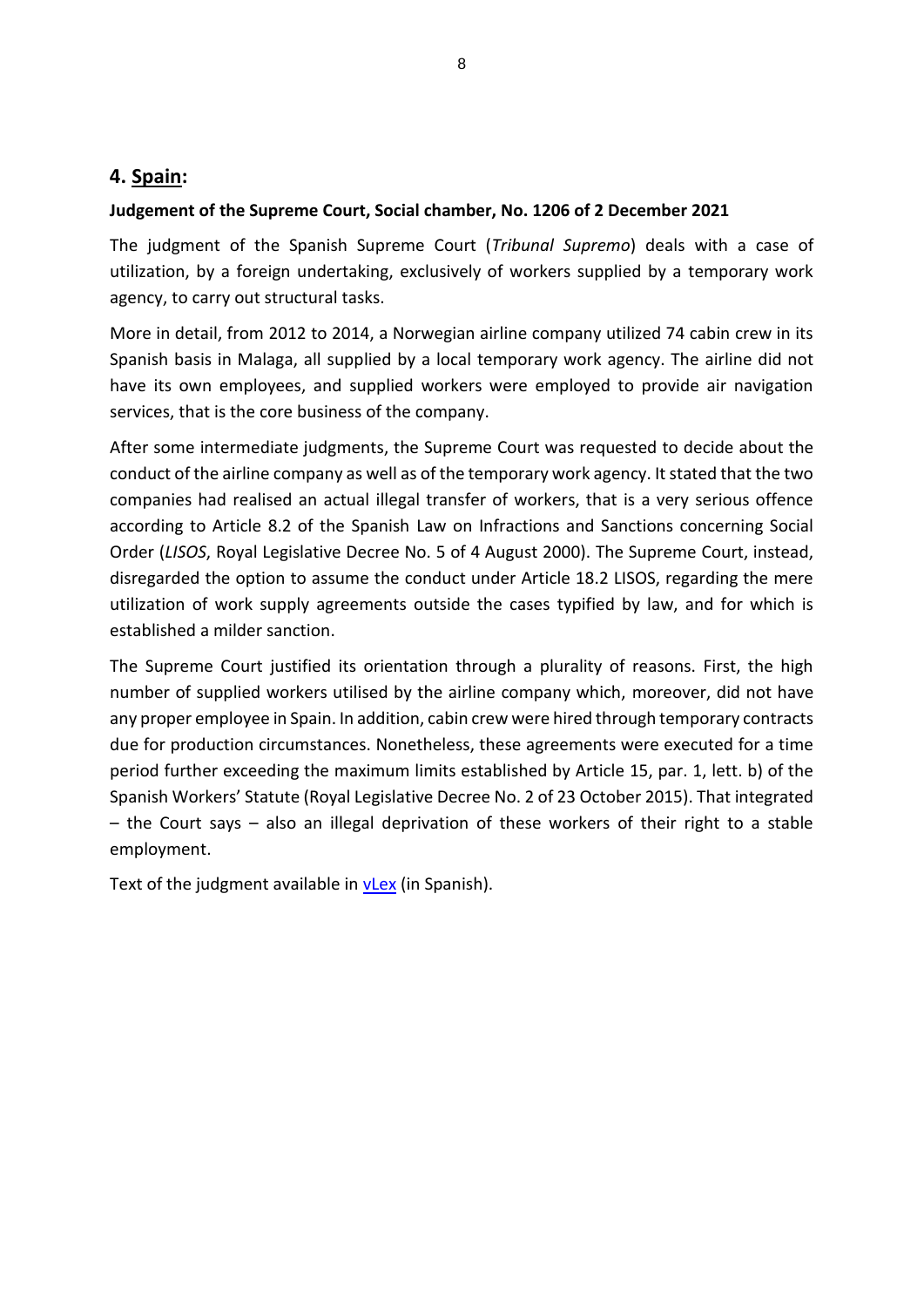## **4. Spain:**

#### **Judgement of the Supreme Court, Social chamber, No. 1206 of 2 December 2021**

The judgment of the Spanish Supreme Court (*Tribunal Supremo*) deals with a case of utilization, by a foreign undertaking, exclusively of workers supplied by a temporary work agency, to carry out structural tasks.

More in detail, from 2012 to 2014, a Norwegian airline company utilized 74 cabin crew in its Spanish basis in Malaga, all supplied by a local temporary work agency. The airline did not have its own employees, and supplied workers were employed to provide air navigation services, that is the core business of the company.

After some intermediate judgments, the Supreme Court was requested to decide about the conduct of the airline company as well as of the temporary work agency. It stated that the two companies had realised an actual illegal transfer of workers, that is a very serious offence according to Article 8.2 of the Spanish Law on Infractions and Sanctions concerning Social Order (*LISOS*, Royal Legislative Decree No. 5 of 4 August 2000). The Supreme Court, instead, disregarded the option to assume the conduct under Article 18.2 LISOS, regarding the mere utilization of work supply agreements outside the cases typified by law, and for which is established a milder sanction.

The Supreme Court justified its orientation through a plurality of reasons. First, the high number of supplied workers utilised by the airline company which, moreover, did not have any proper employee in Spain. In addition, cabin crew were hired through temporary contracts due for production circumstances. Nonetheless, these agreements were executed for a time period further exceeding the maximum limits established by Article 15, par. 1, lett. b) of the Spanish Workers' Statute (Royal Legislative Decree No. 2 of 23 October 2015). That integrated – the Court says – also an illegal deprivation of these workers of their right to a stable employment.

Text of the judgment available in **vLex** (in Spanish).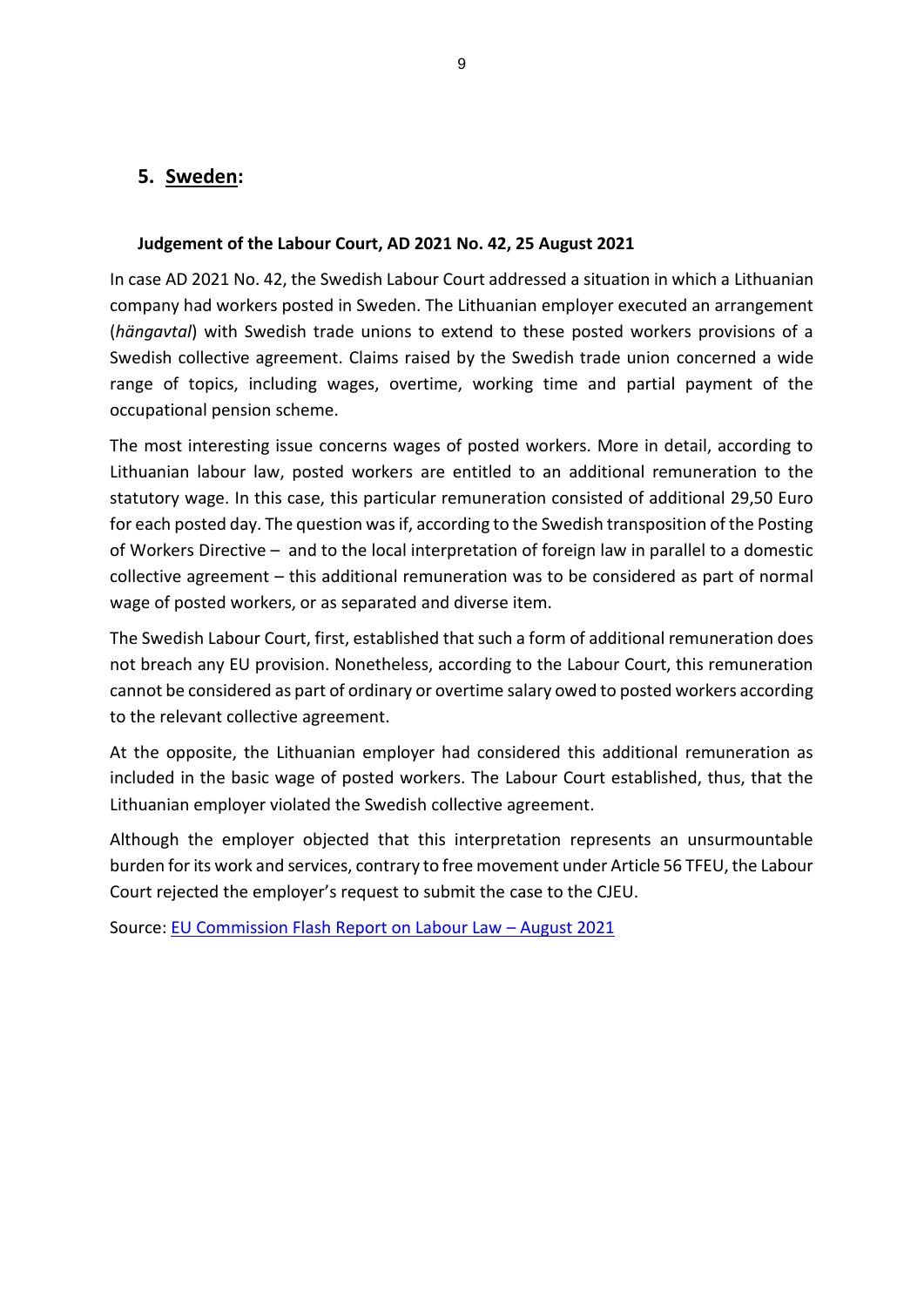### **5. Sweden:**

#### **Judgement of the Labour Court, AD 2021 No. 42, 25 August 2021**

In case AD 2021 No. 42, the Swedish Labour Court addressed a situation in which a Lithuanian company had workers posted in Sweden. The Lithuanian employer executed an arrangement (*hängavtal*) with Swedish trade unions to extend to these posted workers provisions of a Swedish collective agreement. Claims raised by the Swedish trade union concerned a wide range of topics, including wages, overtime, working time and partial payment of the occupational pension scheme.

The most interesting issue concerns wages of posted workers. More in detail, according to Lithuanian labour law, posted workers are entitled to an additional remuneration to the statutory wage. In this case, this particular remuneration consisted of additional 29,50 Euro for each posted day. The question was if, according to the Swedish transposition of the Posting of Workers Directive – and to the local interpretation of foreign law in parallel to a domestic collective agreement – this additional remuneration was to be considered as part of normal wage of posted workers, or as separated and diverse item.

The Swedish Labour Court, first, established that such a form of additional remuneration does not breach any EU provision. Nonetheless, according to the Labour Court, this remuneration cannot be considered as part of ordinary or overtime salary owed to posted workers according to the relevant collective agreement.

At the opposite, the Lithuanian employer had considered this additional remuneration as included in the basic wage of posted workers. The Labour Court established, thus, that the Lithuanian employer violated the Swedish collective agreement.

Although the employer objected that this interpretation represents an unsurmountable burden for its work and services, contrary to free movement under Article 56 TFEU, the Labour Court rejected the employer's request to submit the case to the CJEU.

Source: [EU Commission Flash Report on Labour Law](https://ec.europa.eu/social/BlobServlet?docId=24748&langId=en) – August 2021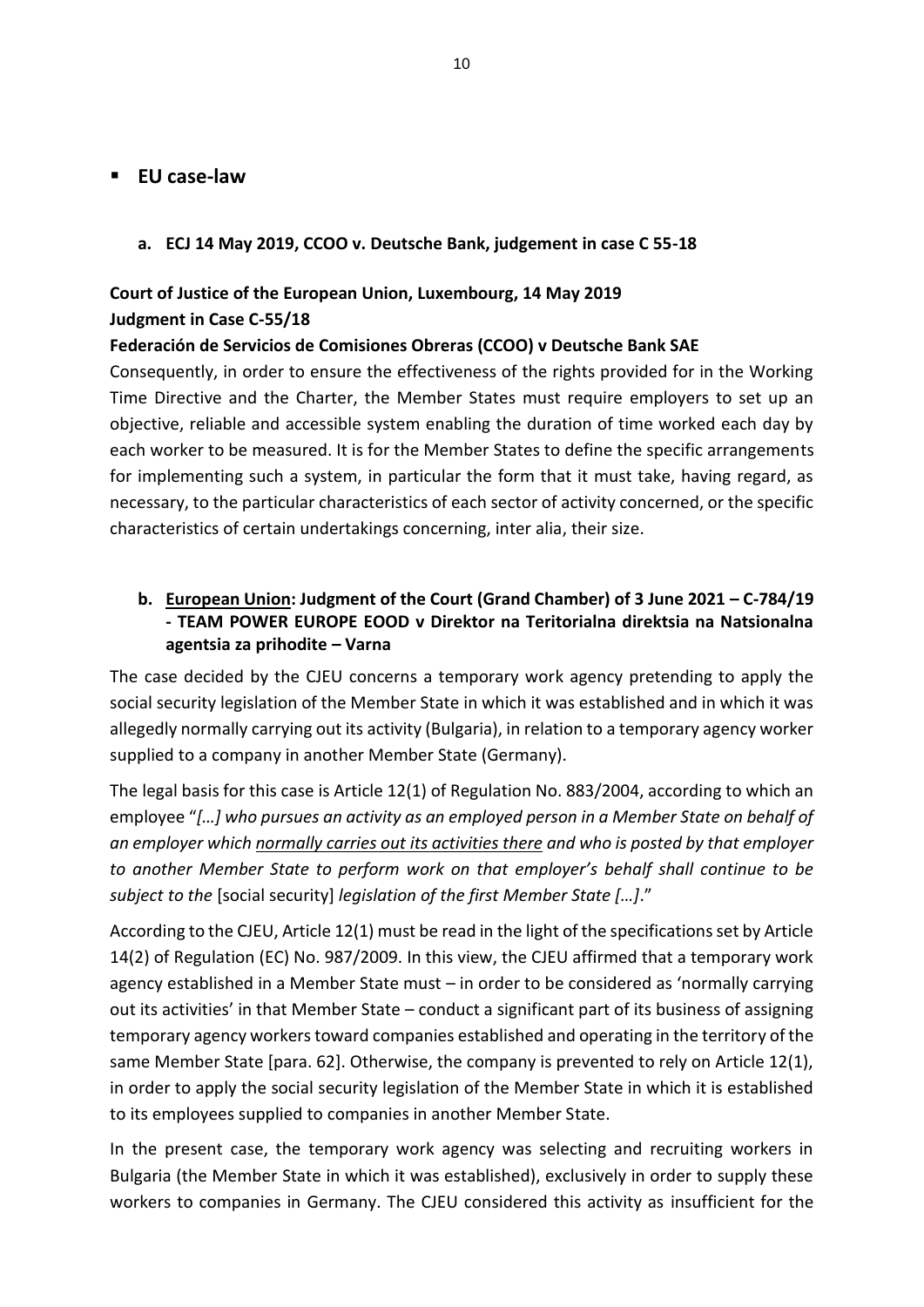#### ▪ **EU case-law**

**a. ECJ 14 May 2019, CCOO v. Deutsche Bank, judgement in case C 55-18**

### **Court of Justice of the European Union, Luxembourg, 14 May 2019 Judgment in Case C-55/18**

#### **Federación de Servicios de Comisiones Obreras (CCOO) v Deutsche Bank SAE**

Consequently, in order to ensure the effectiveness of the rights provided for in the Working Time Directive and the Charter, the Member States must require employers to set up an objective, reliable and accessible system enabling the duration of time worked each day by each worker to be measured. It is for the Member States to define the specific arrangements for implementing such a system, in particular the form that it must take, having regard, as necessary, to the particular characteristics of each sector of activity concerned, or the specific characteristics of certain undertakings concerning, inter alia, their size.

## **b. European Union: Judgment of the Court (Grand Chamber) of 3 June 2021 – C-784/19 - TEAM POWER EUROPE EOOD v Direktor na Teritorialna direktsia na Natsionalna agentsia za prihodite – Varna**

The case decided by the CJEU concerns a temporary work agency pretending to apply the social security legislation of the Member State in which it was established and in which it was allegedly normally carrying out its activity (Bulgaria), in relation to a temporary agency worker supplied to a company in another Member State (Germany).

The legal basis for this case is Article 12(1) of Regulation No. 883/2004, according to which an employee "*[…] who pursues an activity as an employed person in a Member State on behalf of an employer which normally carries out its activities there and who is posted by that employer to another Member State to perform work on that employer's behalf shall continue to be subject to the* [social security] *legislation of the first Member State […]*."

According to the CJEU, Article 12(1) must be read in the light of the specifications set by Article 14(2) of Regulation (EC) No. 987/2009. In this view, the CJEU affirmed that a temporary work agency established in a Member State must – in order to be considered as 'normally carrying out its activities' in that Member State – conduct a significant part of its business of assigning temporary agency workers toward companies established and operating in the territory of the same Member State [para. 62]. Otherwise, the company is prevented to rely on Article 12(1), in order to apply the social security legislation of the Member State in which it is established to its employees supplied to companies in another Member State.

In the present case, the temporary work agency was selecting and recruiting workers in Bulgaria (the Member State in which it was established), exclusively in order to supply these workers to companies in Germany. The CJEU considered this activity as insufficient for the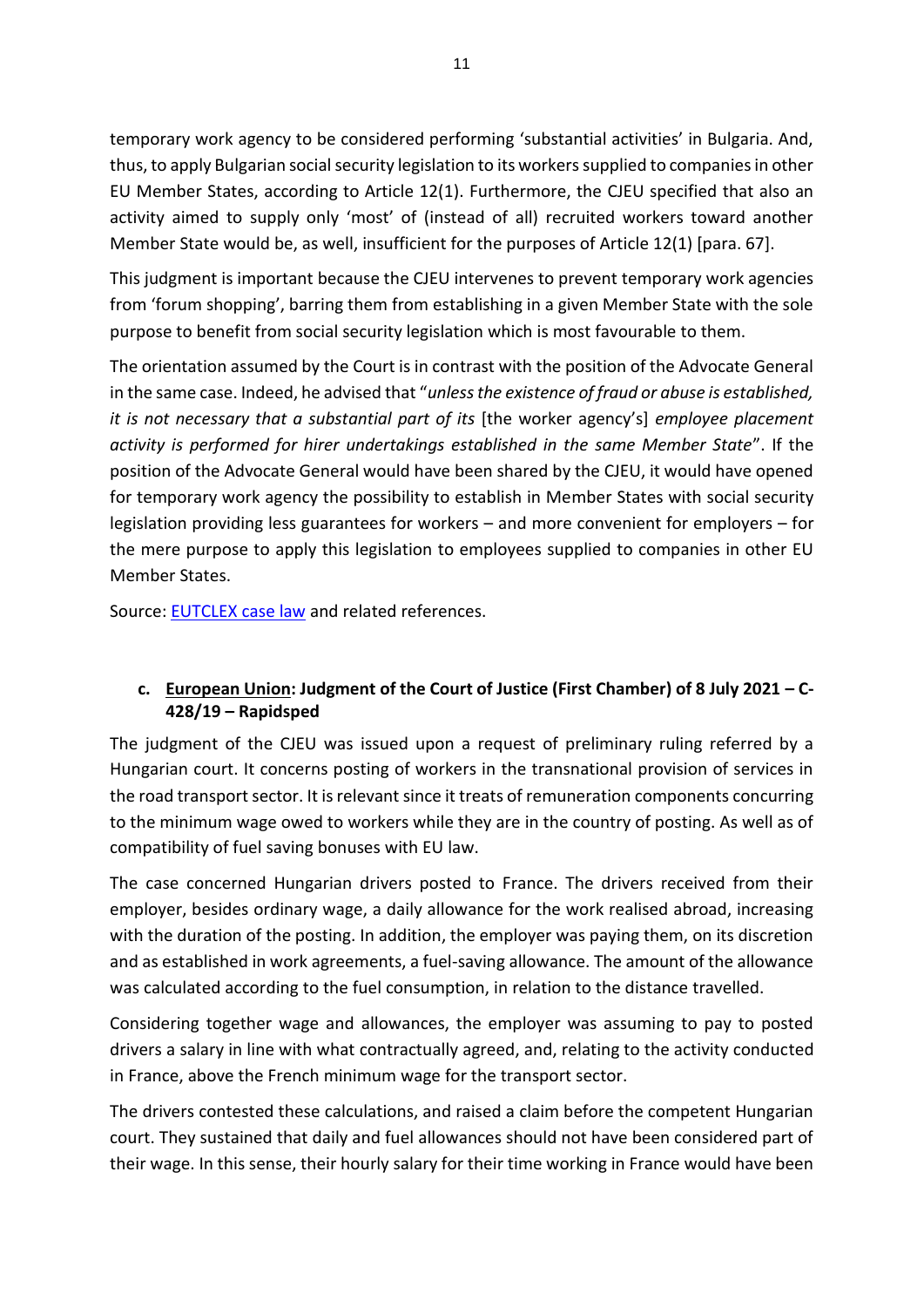temporary work agency to be considered performing 'substantial activities' in Bulgaria. And, thus, to apply Bulgarian social security legislation to its workers supplied to companies in other EU Member States, according to Article 12(1). Furthermore, the CJEU specified that also an activity aimed to supply only 'most' of (instead of all) recruited workers toward another Member State would be, as well, insufficient for the purposes of Article 12(1) [para. 67].

This judgment is important because the CJEU intervenes to prevent temporary work agencies from 'forum shopping', barring them from establishing in a given Member State with the sole purpose to benefit from social security legislation which is most favourable to them.

The orientation assumed by the Court is in contrast with the position of the Advocate General in the same case. Indeed, he advised that "*unless the existence of fraud or abuse is established, it is not necessary that a substantial part of its* [the worker agency's] *employee placement activity is performed for hirer undertakings established in the same Member State*". If the position of the Advocate General would have been shared by the CJEU, it would have opened for temporary work agency the possibility to establish in Member States with social security legislation providing less guarantees for workers – and more convenient for employers – for the mere purpose to apply this legislation to employees supplied to companies in other EU Member States.

Source: [EUTCLEX case law](https://etuclex.etuc.org/cases/team-power-europe-v-national-revenue-agency) and related references.

### **c. European Union: Judgment of the Court of Justice (First Chamber) of 8 July 2021 – C-428/19 – Rapidsped**

The judgment of the CJEU was issued upon a request of preliminary ruling referred by a Hungarian court. It concerns posting of workers in the transnational provision of services in the road transport sector. It is relevant since it treats of remuneration components concurring to the minimum wage owed to workers while they are in the country of posting. As well as of compatibility of fuel saving bonuses with EU law.

The case concerned Hungarian drivers posted to France. The drivers received from their employer, besides ordinary wage, a daily allowance for the work realised abroad, increasing with the duration of the posting. In addition, the employer was paying them, on its discretion and as established in work agreements, a fuel-saving allowance. The amount of the allowance was calculated according to the fuel consumption, in relation to the distance travelled.

Considering together wage and allowances, the employer was assuming to pay to posted drivers a salary in line with what contractually agreed, and, relating to the activity conducted in France, above the French minimum wage for the transport sector.

The drivers contested these calculations, and raised a claim before the competent Hungarian court. They sustained that daily and fuel allowances should not have been considered part of their wage. In this sense, their hourly salary for their time working in France would have been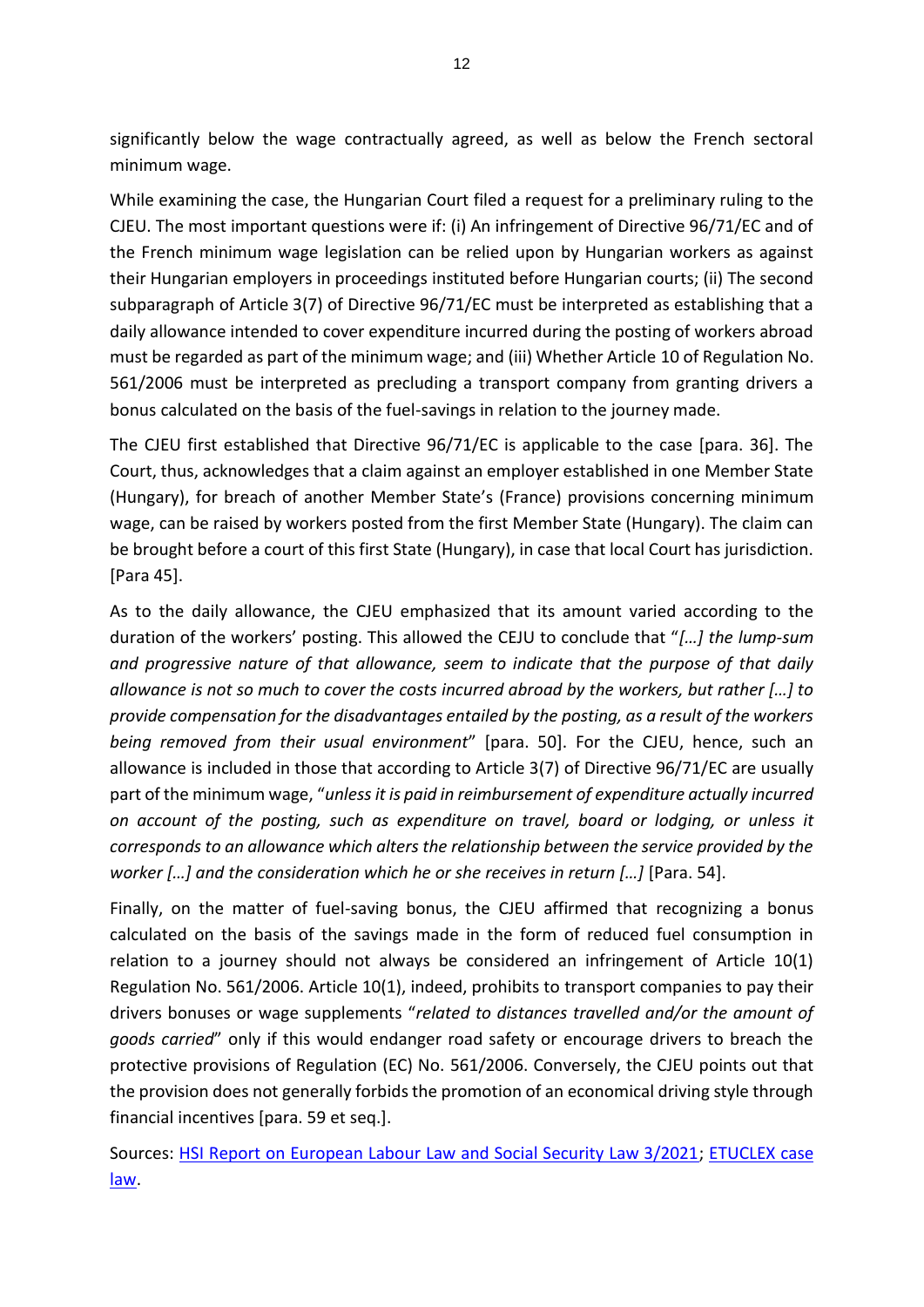significantly below the wage contractually agreed, as well as below the French sectoral minimum wage.

While examining the case, the Hungarian Court filed a request for a preliminary ruling to the CJEU. The most important questions were if: (i) An infringement of Directive 96/71/EC and of the French minimum wage legislation can be relied upon by Hungarian workers as against their Hungarian employers in proceedings instituted before Hungarian courts; (ii) The second subparagraph of Article 3(7) of Directive 96/71/EC must be interpreted as establishing that a daily allowance intended to cover expenditure incurred during the posting of workers abroad must be regarded as part of the minimum wage; and (iii) Whether Article 10 of Regulation No. 561/2006 must be interpreted as precluding a transport company from granting drivers a bonus calculated on the basis of the fuel-savings in relation to the journey made.

The CJEU first established that Directive 96/71/EC is applicable to the case [para. 36]. The Court, thus, acknowledges that a claim against an employer established in one Member State (Hungary), for breach of another Member State's (France) provisions concerning minimum wage, can be raised by workers posted from the first Member State (Hungary). The claim can be brought before a court of this first State (Hungary), in case that local Court has jurisdiction. [Para 45].

As to the daily allowance, the CJEU emphasized that its amount varied according to the duration of the workers' posting. This allowed the CEJU to conclude that "*[…] the lump-sum and progressive nature of that allowance, seem to indicate that the purpose of that daily allowance is not so much to cover the costs incurred abroad by the workers, but rather […] to provide compensation for the disadvantages entailed by the posting, as a result of the workers being removed from their usual environment*" [para. 50]. For the CJEU, hence, such an allowance is included in those that according to Article 3(7) of Directive 96/71/EC are usually part of the minimum wage, "*unless it is paid in reimbursement of expenditure actually incurred on account of the posting, such as expenditure on travel, board or lodging, or unless it corresponds to an allowance which alters the relationship between the service provided by the worker [...] and the consideration which he or she receives in return [...]* [Para. 54].

Finally, on the matter of fuel-saving bonus, the CJEU affirmed that recognizing a bonus calculated on the basis of the savings made in the form of reduced fuel consumption in relation to a journey should not always be considered an infringement of Article 10(1) Regulation No. 561/2006. Article 10(1), indeed, prohibits to transport companies to pay their drivers bonuses or wage supplements "*related to distances travelled and/or the amount of goods carried*" only if this would endanger road safety or encourage drivers to breach the protective provisions of Regulation (EC) No. 561/2006. Conversely, the CJEU points out that the provision does not generally forbids the promotion of an economical driving style through financial incentives [para. 59 et seq.].

Sources: [HSI Report on European Labour Law and Social Security Law 3/2021;](https://www.hugo-sinzheimer-institut.de/faust-detail.htm?sync_id=HBS-008205) [ETUCLEX case](https://etuclex.etuc.org/cases/rapidsped)  [law.](https://etuclex.etuc.org/cases/rapidsped)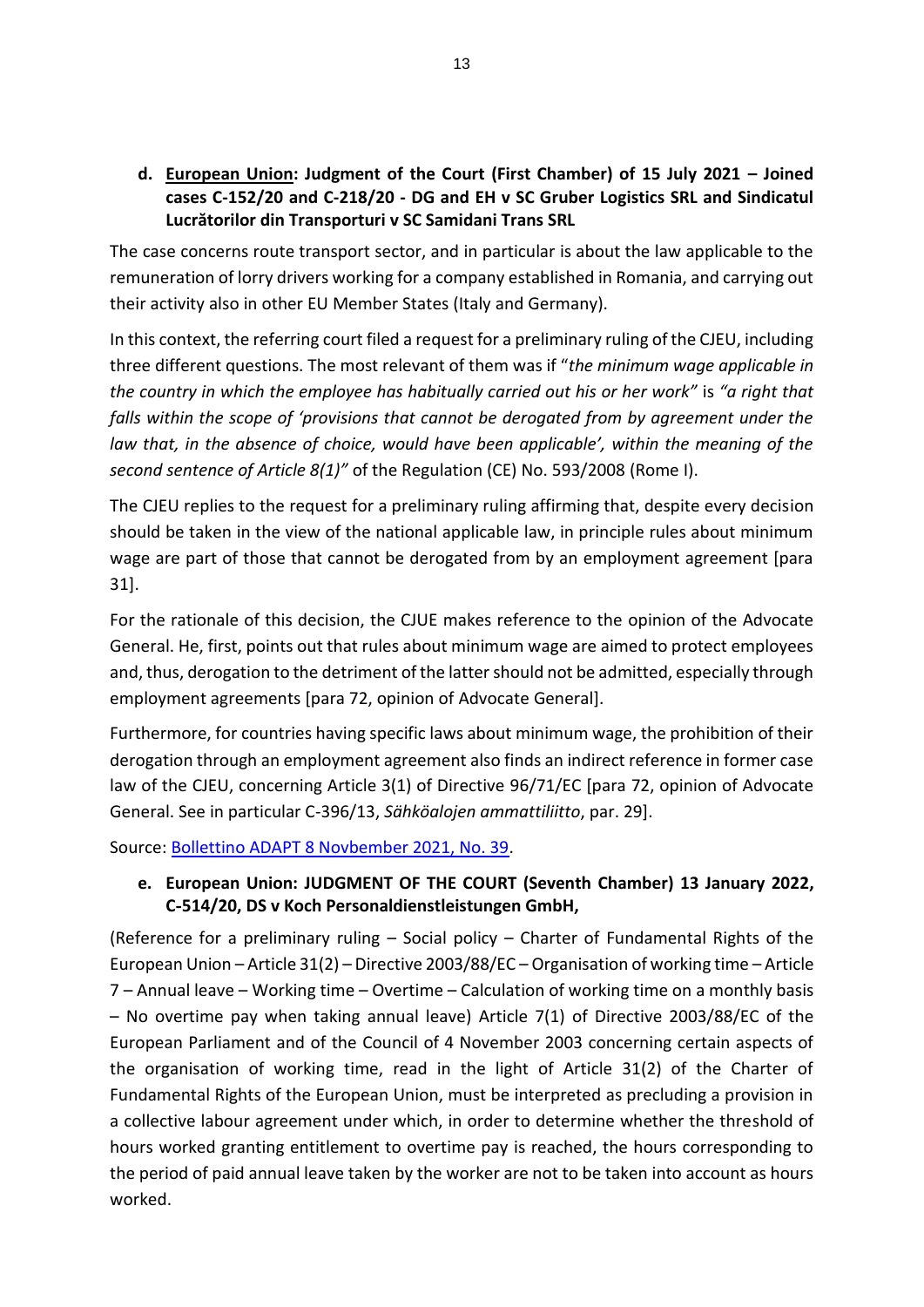**d. European Union: Judgment of the Court (First Chamber) of 15 July 2021 – Joined cases C-152/20 and C-218/20 - DG and EH v SC Gruber Logistics SRL and Sindicatul Lucrătorilor din Transporturi v SC Samidani Trans SRL**

The case concerns route transport sector, and in particular is about the law applicable to the remuneration of lorry drivers working for a company established in Romania, and carrying out their activity also in other EU Member States (Italy and Germany).

In this context, the referring court filed a request for a preliminary ruling of the CJEU, including three different questions. The most relevant of them was if "*the minimum wage applicable in the country in which the employee has habitually carried out his or her work"* is *"a right that falls within the scope of 'provisions that cannot be derogated from by agreement under the law that, in the absence of choice, would have been applicable', within the meaning of the second sentence of Article 8(1)"* of the Regulation (CE) No. 593/2008 (Rome I).

The CJEU replies to the request for a preliminary ruling affirming that, despite every decision should be taken in the view of the national applicable law, in principle rules about minimum wage are part of those that cannot be derogated from by an employment agreement [para 31].

For the rationale of this decision, the CJUE makes reference to the opinion of the Advocate General. He, first, points out that rules about minimum wage are aimed to protect employees and, thus, derogation to the detriment of the latter should not be admitted, especially through employment agreements [para 72, opinion of Advocate General].

Furthermore, for countries having specific laws about minimum wage, the prohibition of their derogation through an employment agreement also finds an indirect reference in former case law of the CJEU, concerning Article 3(1) of Directive 96/71/EC [para 72, opinion of Advocate General. See in particular C-396/13, *Sähköalojen ammattiliitto*, par. 29].

Source: [Bollettino ADAPT 8 Novbember 2021, No. 39.](https://bollettinoadapt.us3.list-manage.com/track/click?u=477f592c29b5a739ce4cc8917&id=8cd8734f99&e=18bdf9babd)

## **e. European Union: JUDGMENT OF THE COURT (Seventh Chamber) 13 January 2022, C**‑**514/20, DS v Koch Personaldienstleistungen GmbH,**

(Reference for a preliminary ruling – Social policy – Charter of Fundamental Rights of the European Union – Article 31(2) – Directive 2003/88/EC – Organisation of working time – Article 7 – Annual leave – Working time – Overtime – Calculation of working time on a monthly basis – No overtime pay when taking annual leave) Article 7(1) of Directive 2003/88/EC of the European Parliament and of the Council of 4 November 2003 concerning certain aspects of the organisation of working time, read in the light of Article 31(2) of the Charter of Fundamental Rights of the European Union, must be interpreted as precluding a provision in a collective labour agreement under which, in order to determine whether the threshold of hours worked granting entitlement to overtime pay is reached, the hours corresponding to the period of paid annual leave taken by the worker are not to be taken into account as hours worked.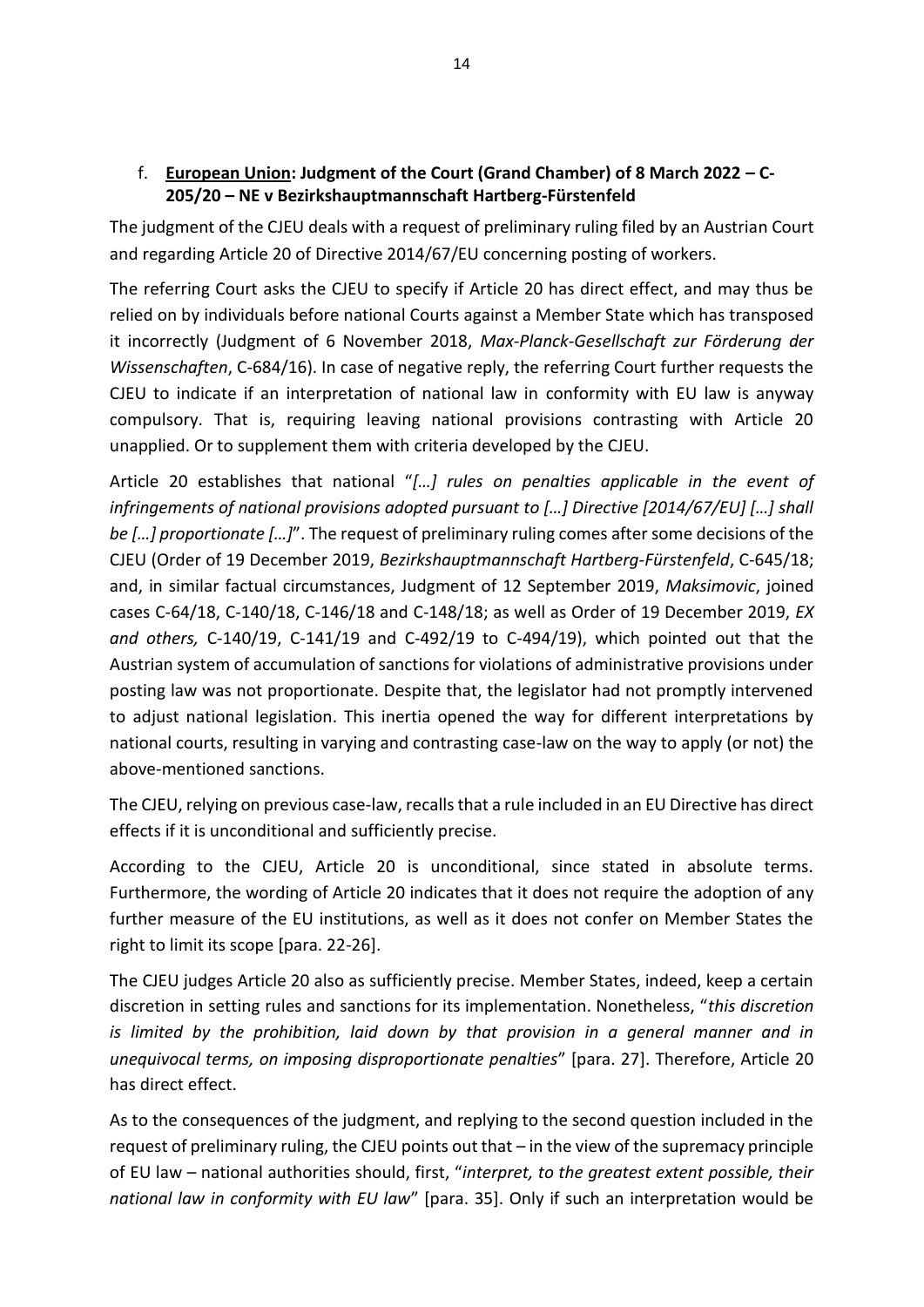#### f. **European Union: Judgment of the Court (Grand Chamber) of 8 March 2022 – C-205/20 – NE v Bezirkshauptmannschaft Hartberg-Fürstenfeld**

The judgment of the CJEU deals with a request of preliminary ruling filed by an Austrian Court and regarding Article 20 of Directive 2014/67/EU concerning posting of workers.

The referring Court asks the CJEU to specify if Article 20 has direct effect, and may thus be relied on by individuals before national Courts against a Member State which has transposed it incorrectly (Judgment of 6 November 2018, *Max-Planck-Gesellschaft zur Förderung der Wissenschaften*, C-684/16). In case of negative reply, the referring Court further requests the CJEU to indicate if an interpretation of national law in conformity with EU law is anyway compulsory. That is, requiring leaving national provisions contrasting with Article 20 unapplied. Or to supplement them with criteria developed by the CJEU.

Article 20 establishes that national "*[…] rules on penalties applicable in the event of infringements of national provisions adopted pursuant to […] Directive [2014/67/EU] […] shall be […] proportionate […]*". The request of preliminary ruling comes after some decisions of the CJEU (Order of 19 December 2019, *Bezirkshauptmannschaft Hartberg-Fürstenfeld*, C-645/18; and, in similar factual circumstances, Judgment of 12 September 2019, *Maksimovic*, joined cases C-64/18, C-140/18, C-146/18 and C-148/18; as well as Order of 19 December 2019, *EX and others,* C-140/19, C-141/19 and C-492/19 to C-494/19), which pointed out that the Austrian system of accumulation of sanctions for violations of administrative provisions under posting law was not proportionate. Despite that, the legislator had not promptly intervened to adjust national legislation. This inertia opened the way for different interpretations by national courts, resulting in varying and contrasting case-law on the way to apply (or not) the above-mentioned sanctions.

The CJEU, relying on previous case-law, recalls that a rule included in an EU Directive has direct effects if it is unconditional and sufficiently precise.

According to the CJEU, Article 20 is unconditional, since stated in absolute terms. Furthermore, the wording of Article 20 indicates that it does not require the adoption of any further measure of the EU institutions, as well as it does not confer on Member States the right to limit its scope [para. 22-26].

The CJEU judges Article 20 also as sufficiently precise. Member States, indeed, keep a certain discretion in setting rules and sanctions for its implementation. Nonetheless, "*this discretion is limited by the prohibition, laid down by that provision in a general manner and in unequivocal terms, on imposing disproportionate penalties*" [para. 27]. Therefore, Article 20 has direct effect.

As to the consequences of the judgment, and replying to the second question included in the request of preliminary ruling, the CJEU points out that – in the view of the supremacy principle of EU law – national authorities should, first, "*interpret, to the greatest extent possible, their national law in conformity with EU law*" [para. 35]. Only if such an interpretation would be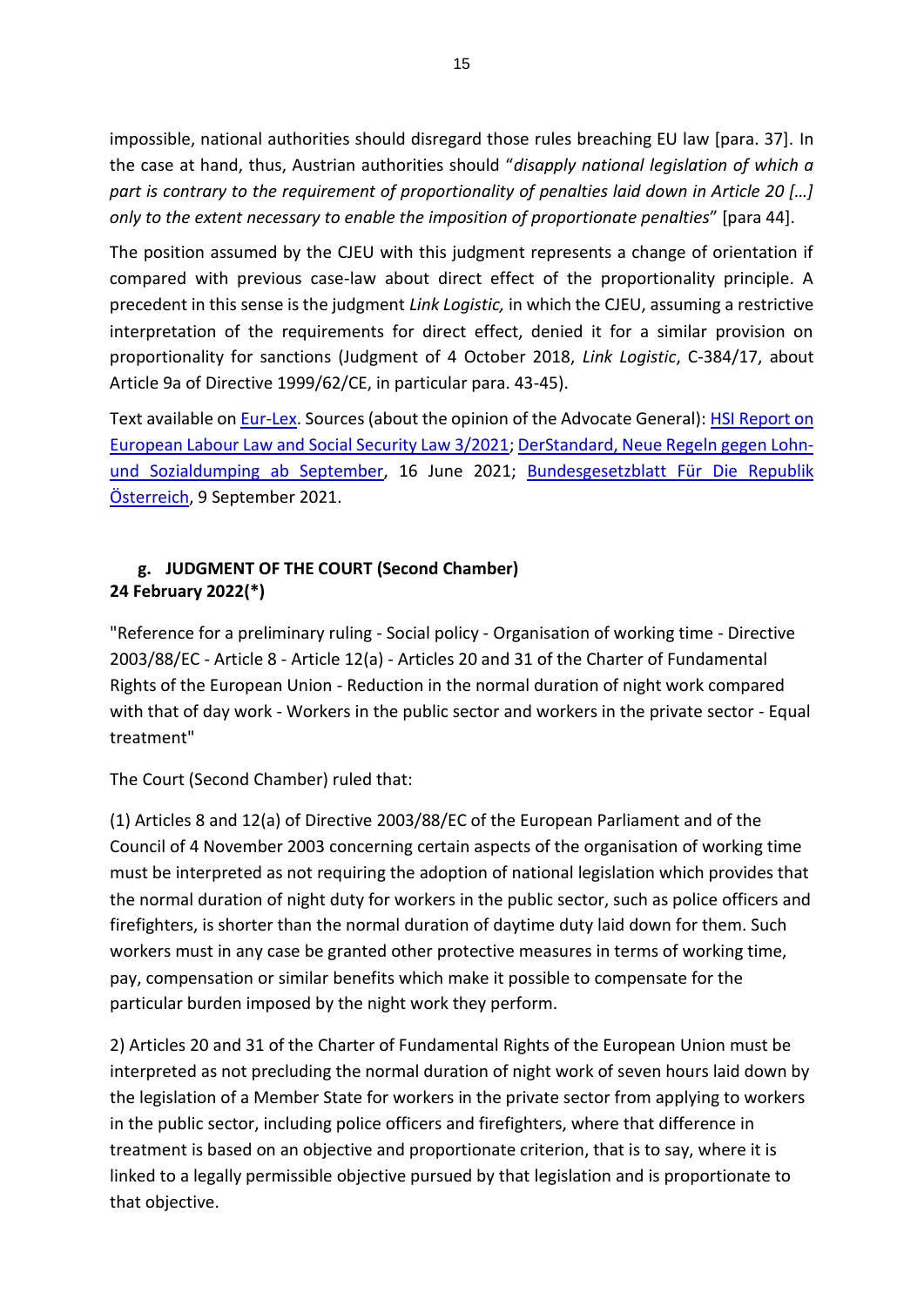impossible, national authorities should disregard those rules breaching EU law [para. 37]. In the case at hand, thus, Austrian authorities should "*disapply national legislation of which a part is contrary to the requirement of proportionality of penalties laid down in Article 20 […] only to the extent necessary to enable the imposition of proportionate penalties*" [para 44].

The position assumed by the CJEU with this judgment represents a change of orientation if compared with previous case-law about direct effect of the proportionality principle. A precedent in this sense is the judgment *Link Logistic,* in which the CJEU, assuming a restrictive interpretation of the requirements for direct effect, denied it for a similar provision on proportionality for sanctions (Judgment of 4 October 2018, *Link Logistic*, C-384/17, about Article 9a of Directive 1999/62/CE, in particular para. 43-45).

Text available on **Eur-Lex.** Sources (about the opinion of the Advocate General): **HSI Report on** [European Labour Law and Social Security Law 3/2021;](https://www.hugo-sinzheimer-institut.de/faust-detail.htm?sync_id=HBS-008205) [DerStandard, Neue Regeln gegen Lohn](https://www.derstandard.at/story/2000127466557/neue-regeln-gegen-lohn-und-sozialdumping-ab-september)[und Sozialdumping ab September,](https://www.derstandard.at/story/2000127466557/neue-regeln-gegen-lohn-und-sozialdumping-ab-september) 16 June 2021; [Bundesgesetzblatt Für Die Republik](https://www.ris.bka.gv.at/Dokumente/BgblAuth/BGBLA_2021_I_174/BGBLA_2021_I_174.html)  [Österreich,](https://www.ris.bka.gv.at/Dokumente/BgblAuth/BGBLA_2021_I_174/BGBLA_2021_I_174.html) 9 September 2021.

### **g. JUDGMENT OF THE COURT (Second Chamber) 24 February 2022(\*)**

"Reference for a preliminary ruling - Social policy - Organisation of working time - Directive 2003/88/EC - Article 8 - Article 12(a) - Articles 20 and 31 of the Charter of Fundamental Rights of the European Union - Reduction in the normal duration of night work compared with that of day work - Workers in the public sector and workers in the private sector - Equal treatment"

The Court (Second Chamber) ruled that:

(1) Articles 8 and 12(a) of Directive 2003/88/EC of the European Parliament and of the Council of 4 November 2003 concerning certain aspects of the organisation of working time must be interpreted as not requiring the adoption of national legislation which provides that the normal duration of night duty for workers in the public sector, such as police officers and firefighters, is shorter than the normal duration of daytime duty laid down for them. Such workers must in any case be granted other protective measures in terms of working time, pay, compensation or similar benefits which make it possible to compensate for the particular burden imposed by the night work they perform.

2) Articles 20 and 31 of the Charter of Fundamental Rights of the European Union must be interpreted as not precluding the normal duration of night work of seven hours laid down by the legislation of a Member State for workers in the private sector from applying to workers in the public sector, including police officers and firefighters, where that difference in treatment is based on an objective and proportionate criterion, that is to say, where it is linked to a legally permissible objective pursued by that legislation and is proportionate to that objective.